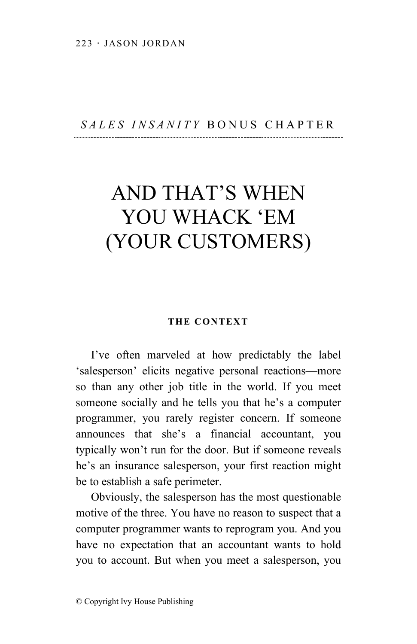## *SALES INSANITY* BONUS CHAPTER

# AND THAT'S WHEN YOU WHACK 'EM (YOUR CUSTOMERS)

### **THE CONTEXT**

I've often marveled at how predictably the label 'salesperson' elicits negative personal reactions—more so than any other job title in the world. If you meet someone socially and he tells you that he's a computer programmer, you rarely register concern. If someone announces that she's a financial accountant, you typically won't run for the door. But if someone reveals he's an insurance salesperson, your first reaction might be to establish a safe perimeter.

Obviously, the salesperson has the most questionable motive of the three. You have no reason to suspect that a computer programmer wants to reprogram you. And you have no expectation that an accountant wants to hold you to account. But when you meet a salesperson, you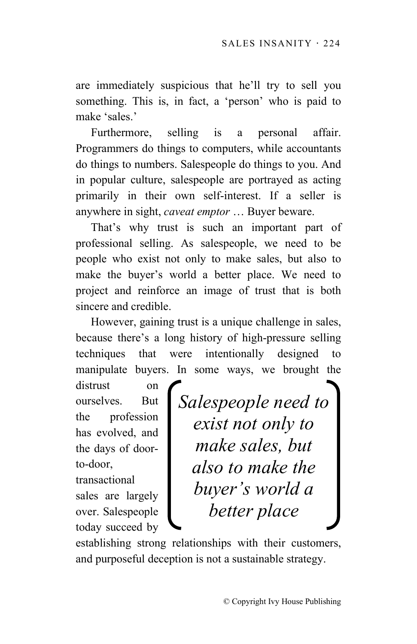are immediately suspicious that he'll try to sell you something. This is, in fact, a 'person' who is paid to make 'sales.'

Furthermore, selling is a personal affair. Programmers do things to computers, while accountants do things to numbers. Salespeople do things to you. And in popular culture, salespeople are portrayed as acting primarily in their own self-interest. If a seller is anywhere in sight, *caveat emptor* … Buyer beware.

That's why trust is such an important part of professional selling. As salespeople, we need to be people who exist not only to make sales, but also to make the buyer's world a better place. We need to project and reinforce an image of trust that is both sincere and credible.

However, gaining trust is a unique challenge in sales, because there's a long history of high-pressure selling techniques that were intentionally designed manipulate buyers. In some ways, we brought the

distrust on ourselves. But the profession has evolved, and the days of doorto-door,

transactional sales are largely over. Salespeople today succeed by *Salespeople need to exist not only to make sales, but also to make the buyer's world a better place*

establishing strong relationships with their customers, and purposeful deception is not a sustainable strategy.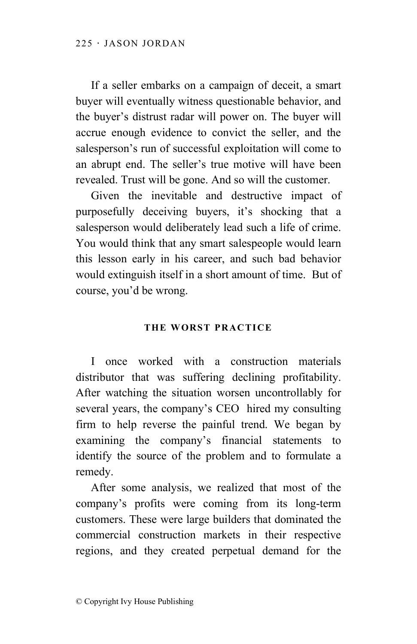If a seller embarks on a campaign of deceit, a smart buyer will eventually witness questionable behavior, and the buyer's distrust radar will power on. The buyer will accrue enough evidence to convict the seller, and the salesperson's run of successful exploitation will come to an abrupt end. The seller's true motive will have been revealed. Trust will be gone. And so will the customer.

Given the inevitable and destructive impact of purposefully deceiving buyers, it's shocking that a salesperson would deliberately lead such a life of crime. You would think that any smart salespeople would learn this lesson early in his career, and such bad behavior would extinguish itself in a short amount of time. But of course, you'd be wrong.

## **THE WORST PRACTICE**

I once worked with a construction materials distributor that was suffering declining profitability. After watching the situation worsen uncontrollably for several years, the company's CEO hired my consulting firm to help reverse the painful trend. We began by examining the company's financial statements to identify the source of the problem and to formulate a remedy.

After some analysis, we realized that most of the company's profits were coming from its long-term customers. These were large builders that dominated the commercial construction markets in their respective regions, and they created perpetual demand for the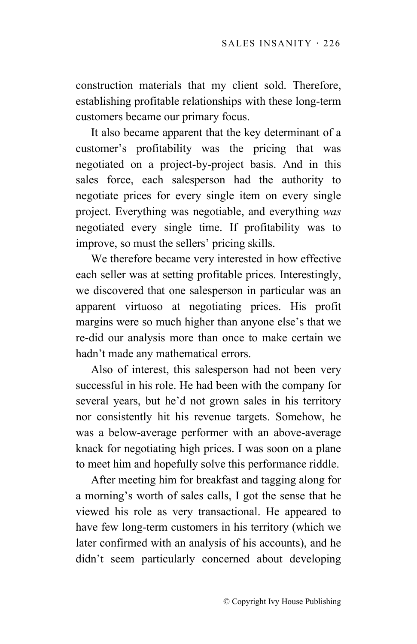construction materials that my client sold. Therefore, establishing profitable relationships with these long-term customers became our primary focus.

It also became apparent that the key determinant of a customer's profitability was the pricing that was negotiated on a project-by-project basis. And in this sales force, each salesperson had the authority to negotiate prices for every single item on every single project. Everything was negotiable, and everything *was* negotiated every single time. If profitability was to improve, so must the sellers' pricing skills.

We therefore became very interested in how effective each seller was at setting profitable prices. Interestingly, we discovered that one salesperson in particular was an apparent virtuoso at negotiating prices. His profit margins were so much higher than anyone else's that we re-did our analysis more than once to make certain we hadn't made any mathematical errors.

Also of interest, this salesperson had not been very successful in his role. He had been with the company for several years, but he'd not grown sales in his territory nor consistently hit his revenue targets. Somehow, he was a below-average performer with an above-average knack for negotiating high prices. I was soon on a plane to meet him and hopefully solve this performance riddle.

After meeting him for breakfast and tagging along for a morning's worth of sales calls, I got the sense that he viewed his role as very transactional. He appeared to have few long-term customers in his territory (which we later confirmed with an analysis of his accounts), and he didn't seem particularly concerned about developing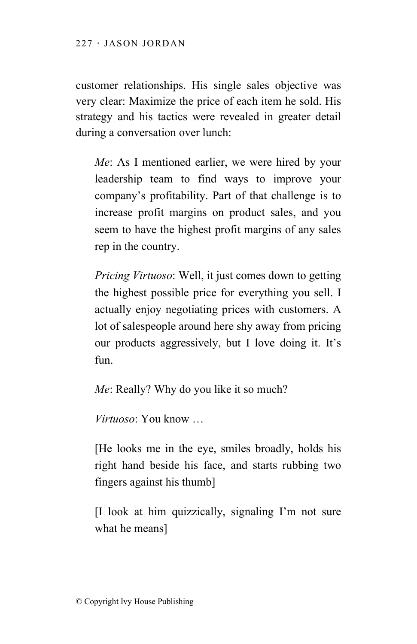customer relationships. His single sales objective was very clear: Maximize the price of each item he sold. His strategy and his tactics were revealed in greater detail during a conversation over lunch:

*Me*: As I mentioned earlier, we were hired by your leadership team to find ways to improve your company's profitability. Part of that challenge is to increase profit margins on product sales, and you seem to have the highest profit margins of any sales rep in the country.

*Pricing Virtuoso*: Well, it just comes down to getting the highest possible price for everything you sell. I actually enjoy negotiating prices with customers. A lot of salespeople around here shy away from pricing our products aggressively, but I love doing it. It's fun.

*Me*: Really? Why do you like it so much?

*Virtuoso*: You know …

[He looks me in the eye, smiles broadly, holds his right hand beside his face, and starts rubbing two fingers against his thumb]

[I look at him quizzically, signaling I'm not sure what he means]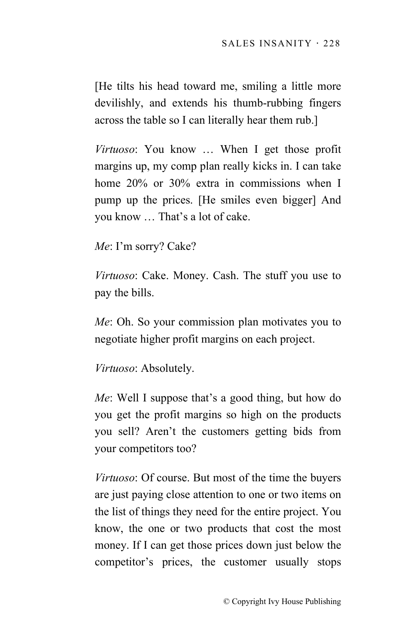[He tilts his head toward me, smiling a little more devilishly, and extends his thumb-rubbing fingers across the table so I can literally hear them rub.]

*Virtuoso*: You know … When I get those profit margins up, my comp plan really kicks in. I can take home 20% or 30% extra in commissions when I pump up the prices. [He smiles even bigger] And you know … That's a lot of cake.

*Me*: I'm sorry? Cake?

*Virtuoso*: Cake. Money. Cash. The stuff you use to pay the bills.

*Me*: Oh. So your commission plan motivates you to negotiate higher profit margins on each project.

*Virtuoso*: Absolutely.

*Me*: Well I suppose that's a good thing, but how do you get the profit margins so high on the products you sell? Aren't the customers getting bids from your competitors too?

*Virtuoso*: Of course. But most of the time the buyers are just paying close attention to one or two items on the list of things they need for the entire project. You know, the one or two products that cost the most money. If I can get those prices down just below the competitor's prices, the customer usually stops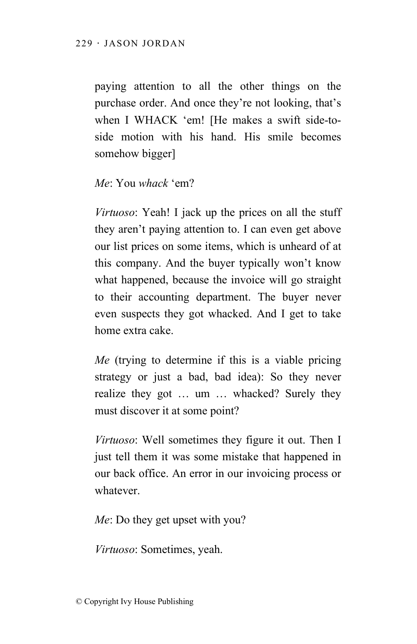paying attention to all the other things on the purchase order. And once they're not looking, that's when I WHACK 'em! [He makes a swift side-toside motion with his hand. His smile becomes somehow bigger]

## *Me*: You *whack* 'em?

*Virtuoso*: Yeah! I jack up the prices on all the stuff they aren't paying attention to. I can even get above our list prices on some items, which is unheard of at this company. And the buyer typically won't know what happened, because the invoice will go straight to their accounting department. The buyer never even suspects they got whacked. And I get to take home extra cake.

*Me* (trying to determine if this is a viable pricing strategy or just a bad, bad idea): So they never realize they got … um … whacked? Surely they must discover it at some point?

*Virtuoso*: Well sometimes they figure it out. Then I just tell them it was some mistake that happened in our back office. An error in our invoicing process or whatever.

*Me*: Do they get upset with you?

*Virtuoso*: Sometimes, yeah.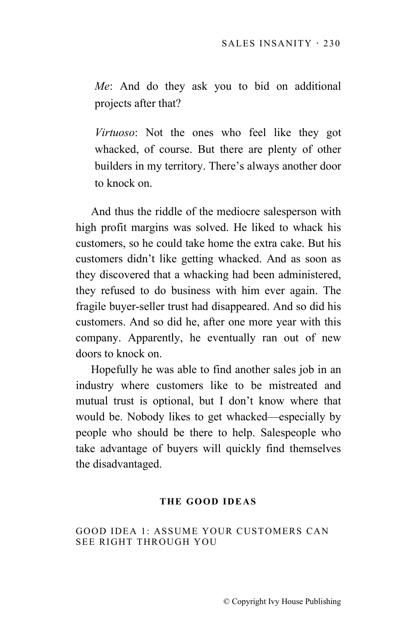*Me*: And do they ask you to bid on additional projects after that?

*Virtuoso*: Not the ones who feel like they got whacked, of course. But there are plenty of other builders in my territory. There's always another door to knock on.

And thus the riddle of the mediocre salesperson with high profit margins was solved. He liked to whack his customers, so he could take home the extra cake. But his customers didn't like getting whacked. And as soon as they discovered that a whacking had been administered, they refused to do business with him ever again. The fragile buyer-seller trust had disappeared. And so did his customers. And so did he, after one more year with this company. Apparently, he eventually ran out of new doors to knock on.

Hopefully he was able to find another sales job in an industry where customers like to be mistreated and mutual trust is optional, but I don't know where that would be. Nobody likes to get whacked—especially by people who should be there to help. Salespeople who take advantage of buyers will quickly find themselves the disadvantaged.

## **THE GOOD IDEAS**

### GOOD IDEA 1: ASSUME YOUR CUSTOMERS CAN SEE RIGHT THROUGH YOU